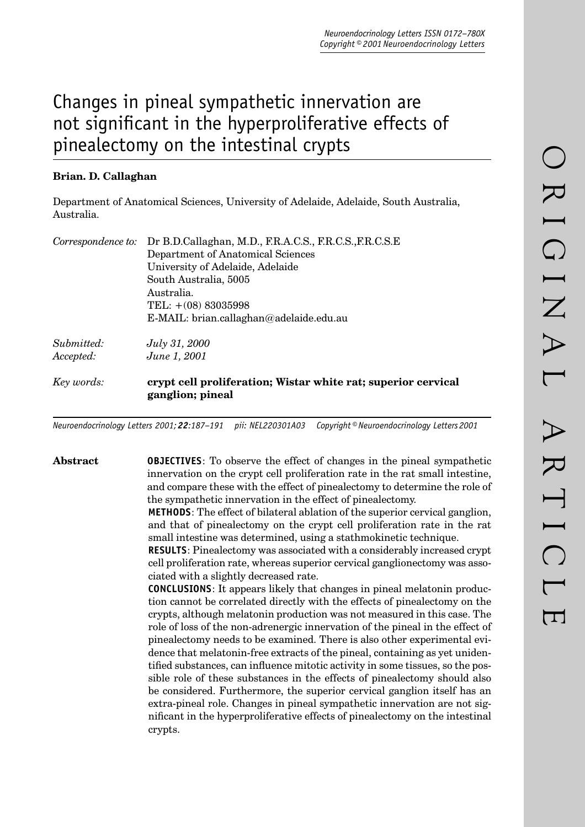# Changes in pineal sympathetic innervation are not significant in the hyperproliferative effects of pinealectomy on the intestinal crypts

# **Brian. D. Callaghan**

Department of Anatomical Sciences, University of Adelaide, Adelaide, South Australia, Australia.

| Correspondence to: | Dr B.D.Callaghan, M.D., F.R.A.C.S., F.R.C.S., F.R.C.S.E                           |
|--------------------|-----------------------------------------------------------------------------------|
|                    | Department of Anatomical Sciences                                                 |
|                    | University of Adelaide, Adelaide                                                  |
|                    | South Australia, 5005                                                             |
|                    | Australia.                                                                        |
|                    | TEL: $+(08) 83035998$                                                             |
|                    | $E\text{-}MAIL: brain. call a ghan@adelaide.edu.au$                               |
| Submitted:         | <i>July 31, 2000</i>                                                              |
| Accepted:          | June 1, 2001                                                                      |
| Key words:         | erypt cell proliferation; Wistar white rat; superior cervical<br>ganglion; pineal |

*Neuroendocrinology Letters 2001; 22:187–191 pii: NEL220301A03 Copyright © Neuroendocrinology Letters 2001*

**Abstract OBJECTIVES**: To observe the effect of changes in the pineal sympathetic innervation on the crypt cell proliferation rate in the rat small intestine, and compare these with the effect of pinealectomy to determine the role of the sympathetic innervation in the effect of pinealectomy.

> **METHODS**: The effect of bilateral ablation of the superior cervical ganglion, and that of pinealectomy on the crypt cell proliferation rate in the rat small intestine was determined, using a stathmokinetic technique.

> **RESULTS**: Pinealectomy was associated with a considerably increased crypt cell proliferation rate, whereas superior cervical ganglionectomy was associated with a slightly decreased rate.

> **CONCLUSIONS**: It appears likely that changes in pineal melatonin production cannot be correlated directly with the effects of pinealectomy on the crypts, although melatonin production was not measured in this case. The role of loss of the non-adrenergic innervation of the pineal in the effect of pinealectomy needs to be examined. There is also other experimental evidence that melatonin-free extracts of the pineal, containing as yet unidentified substances, can influence mitotic activity in some tissues, so the possible role of these substances in the effects of pinealectomy should also be considered. Furthermore, the superior cervical ganglion itself has an extra-pineal role. Changes in pineal sympathetic innervation are not significant in the hyperproliferative effects of pinealectomy on the intestinal crypts.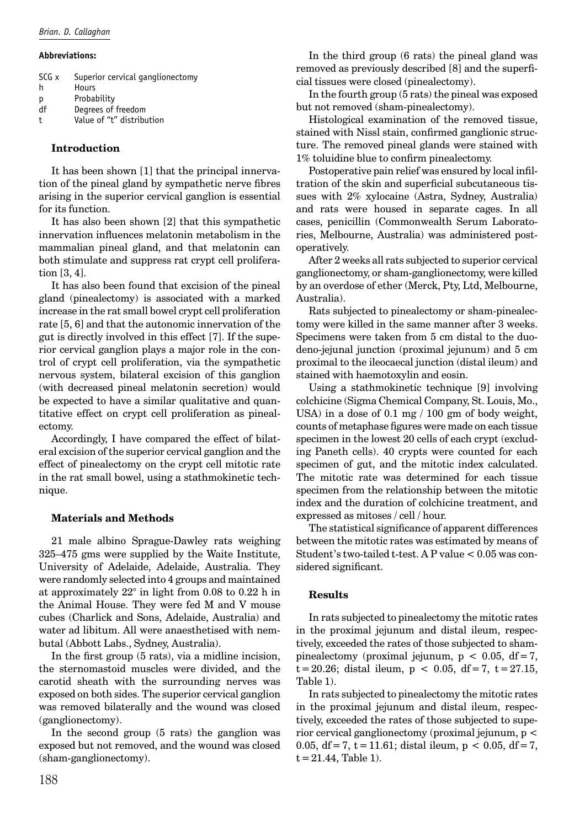#### **Abbreviations:**

| SCG x | Superior cervical ganglionectomy |
|-------|----------------------------------|
| h     | Hours                            |
| p     | Probability                      |
| df    | Degrees of freedom               |
| t     | Value of "t" distribution        |

### **Introduction**

It has been shown [1] that the principal innervation of the pineal gland by sympathetic nerve fibres arising in the superior cervical ganglion is essential for its function.

It has also been shown [2] that this sympathetic innervation influences melatonin metabolism in the mammalian pineal gland, and that melatonin can both stimulate and suppress rat crypt cell proliferation [3, 4].

It has also been found that excision of the pineal gland (pinealectomy) is associated with a marked increase in the rat small bowel crypt cell proliferation rate [5, 6] and that the autonomic innervation of the gut is directly involved in this effect [7]. If the superior cervical ganglion plays a major role in the control of crypt cell proliferation, via the sympathetic nervous system, bilateral excision of this ganglion (with decreased pineal melatonin secretion) would be expected to have a similar qualitative and quantitative effect on crypt cell proliferation as pinealectomy.

Accordingly, I have compared the effect of bilateral excision of the superior cervical ganglion and the effect of pinealectomy on the crypt cell mitotic rate in the rat small bowel, using a stathmokinetic technique.

### **Materials and Methods**

21 male albino Sprague-Dawley rats weighing 325–475 gms were supplied by the Waite Institute, University of Adelaide, Adelaide, Australia. They were randomly selected into 4 groups and maintained at approximately 22° in light from 0.08 to 0.22 h in the Animal House. They were fed M and V mouse cubes (Charlick and Sons, Adelaide, Australia) and water ad libitum. All were anaesthetised with nembutal (Abbott Labs., Sydney, Australia).

In the first group (5 rats), via a midline incision, the sternomastoid muscles were divided, and the carotid sheath with the surrounding nerves was exposed on both sides. The superior cervical ganglion was removed bilaterally and the wound was closed (ganglionectomy).

In the second group (5 rats) the ganglion was exposed but not removed, and the wound was closed (sham-ganglionectomy).

In the third group (6 rats) the pineal gland was removed as previously described [8] and the superficial tissues were closed (pinealectomy).

In the fourth group (5 rats) the pineal was exposed but not removed (sham-pinealectomy).

Histological examination of the removed tissue, stained with Nissl stain, confirmed ganglionic structure. The removed pineal glands were stained with 1% toluidine blue to confirm pinealectomy.

Postoperative pain relief was ensured by local infiltration of the skin and superficial subcutaneous tissues with 2% xylocaine (Astra, Sydney, Australia) and rats were housed in separate cages. In all cases, penicillin (Commonwealth Serum Laboratories, Melbourne, Australia) was administered postoperatively.

After 2 weeks all rats subjected to superior cervical ganglionectomy, or sham-ganglionectomy, were killed by an overdose of ether (Merck, Pty, Ltd, Melbourne, Australia).

Rats subjected to pinealectomy or sham-pinealectomy were killed in the same manner after 3 weeks. Specimens were taken from 5 cm distal to the duodeno-jejunal junction (proximal jejunum) and 5 cm proximal to the ileocaecal junction (distal ileum) and stained with haemotoxylin and eosin.

Using a stathmokinetic technique [9] involving colchicine (Sigma Chemical Company, St. Louis, Mo., USA) in a dose of 0.1 mg / 100 gm of body weight, counts of metaphase figures were made on each tissue specimen in the lowest 20 cells of each crypt (excluding Paneth cells). 40 crypts were counted for each specimen of gut, and the mitotic index calculated. The mitotic rate was determined for each tissue specimen from the relationship between the mitotic index and the duration of colchicine treatment, and expressed as mitoses / cell / hour.

The statistical significance of apparent differences between the mitotic rates was estimated by means of Student's two-tailed t-test. A P value < 0.05 was considered significant.

# **Results**

In rats subjected to pinealectomy the mitotic rates in the proximal jejunum and distal ileum, respectively, exceeded the rates of those subjected to shampinealectomy (proximal jejunum,  $p < 0.05$ , df = 7,  $t = 20.26$ ; distal ileum,  $p < 0.05$ , df = 7, t = 27.15, Table 1).

In rats subjected to pinealectomy the mitotic rates in the proximal jejunum and distal ileum, respectively, exceeded the rates of those subjected to superior cervical ganglionectomy (proximal jejunum, p < 0.05, df = 7, t = 11.61; distal ileum,  $p < 0.05$ , df = 7,  $t = 21.44$ , Table 1).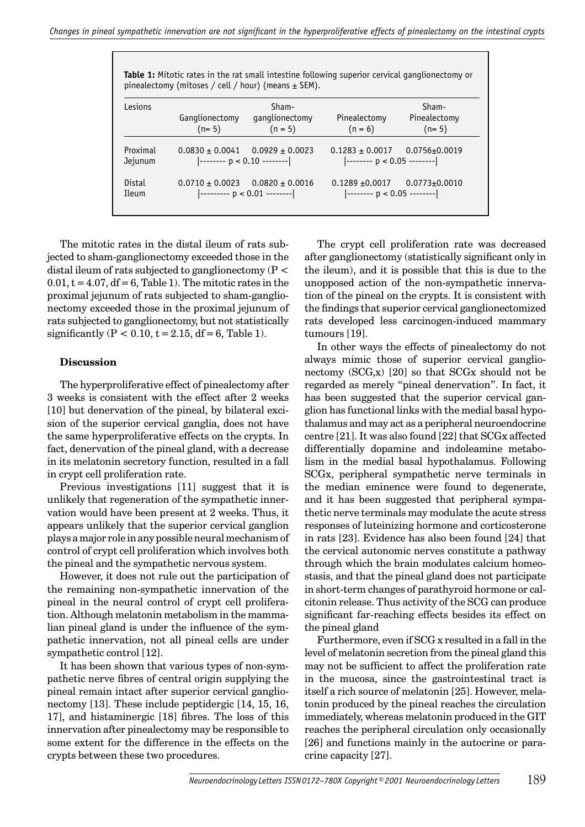**Table 1:** Mitotic rates in the rat small intestine following superior cervical ganglionectomy or pinealectomy (mitoses / cell / hour) (means  $\pm$  SEM).

| Lesions             | Ganglionectomy<br>$(n=5)$               | Sham-<br>ganglionectomy<br>$(n = 5)$                       | Pinealectomy<br>$(n = 6)$                                                                                                                      | Sham-<br>Pinealectomy<br>$(n=5)$ |
|---------------------|-----------------------------------------|------------------------------------------------------------|------------------------------------------------------------------------------------------------------------------------------------------------|----------------------------------|
| Proximal<br>Jejunum | $0.0830 \pm 0.0041$ 0.0929 $\pm$ 0.0023 |                                                            | $0.1283 \pm 0.0017$<br>$\left  \begin{array}{ccc} - \end{array} \right $ = -------- $\left  \begin{array}{ccc} p < 0.05 & \end{array} \right $ | $0.0756 {\pm} 0.0019$            |
| Distal<br>Ileum     | $0.0710 + 0.0023$                       | $0.0820 + 0.0016$<br>$\vert$ --------- $p < 0.01$ -------- | $0.1289 + 0.0017$<br>$\vert$ -------- p < 0.05 --------                                                                                        | $0.0773 \pm 0.0010$              |

The mitotic rates in the distal ileum of rats subjected to sham-ganglionectomy exceeded those in the distal ileum of rats subjected to ganglionectomy ( $P <$  $0.01$ ,  $t = 4.07$ ,  $df = 6$ , Table 1). The mitotic rates in the proximal jejunum of rats subjected to sham-ganglionectomy exceeded those in the proximal jejunum of rats subjected to ganglionectomy, but not statistically significantly ( $P < 0.10$ ,  $t = 2.15$ , df = 6, Table 1).

#### **Discussion**

The hyperproliferative effect of pinealectomy after 3 weeks is consistent with the effect after 2 weeks [10] but denervation of the pineal, by bilateral excision of the superior cervical ganglia, does not have the same hyperproliferative effects on the crypts. In fact, denervation of the pineal gland, with a decrease in its melatonin secretory function, resulted in a fall in crypt cell proliferation rate.

Previous investigations [11] suggest that it is unlikely that regeneration of the sympathetic innervation would have been present at 2 weeks. Thus, it appears unlikely that the superior cervical ganglion plays a major role in any possible neural mechanism of control of crypt cell proliferation which involves both the pineal and the sympathetic nervous system.

However, it does not rule out the participation of the remaining non-sympathetic innervation of the pineal in the neural control of crypt cell proliferation. Although melatonin metabolism in the mammalian pineal gland is under the influence of the sympathetic innervation, not all pineal cells are under sympathetic control [12].

It has been shown that various types of non-sympathetic nerve fibres of central origin supplying the pineal remain intact after superior cervical ganglionectomy [13]. These include peptidergic [14, 15, 16, 17], and histaminergic [18] fibres. The loss of this innervation after pinealectomy may be responsible to some extent for the difference in the effects on the crypts between these two procedures.

The crypt cell proliferation rate was decreased after ganglionectomy (statistically significant only in the ileum), and it is possible that this is due to the unopposed action of the non-sympathetic innervation of the pineal on the crypts. It is consistent with the findings that superior cervical ganglionectomized rats developed less carcinogen-induced mammary tumours [19].

In other ways the effects of pinealectomy do not always mimic those of superior cervical ganglionectomy  $(SCG, x)$  [20] so that  $SCGx$  should not be regarded as merely "pineal denervation". In fact, it has been suggested that the superior cervical ganglion has functional links with the medial basal hypothalamus and may act as a peripheral neuroendocrine centre [21]. It was also found [22] that SCGx affected differentially dopamine and indoleamine metabolism in the medial basal hypothalamus. Following SCGx, peripheral sympathetic nerve terminals in the median eminence were found to degenerate, and it has been suggested that peripheral sympathetic nerve terminals may modulate the acute stress responses of luteinizing hormone and corticosterone in rats [23]. Evidence has also been found [24] that the cervical autonomic nerves constitute a pathway through which the brain modulates calcium homeostasis, and that the pineal gland does not participate in short-term changes of parathyroid hormone or calcitonin release. Thus activity of the SCG can produce significant far-reaching effects besides its effect on the pineal gland

Furthermore, even if SCG x resulted in a fall in the level of melatonin secretion from the pineal gland this may not be sufficient to affect the proliferation rate in the mucosa, since the gastrointestinal tract is itself a rich source of melatonin [25]. However, melatonin produced by the pineal reaches the circulation immediately, whereas melatonin produced in the GIT reaches the peripheral circulation only occasionally [26] and functions mainly in the autocrine or paracrine capacity [27].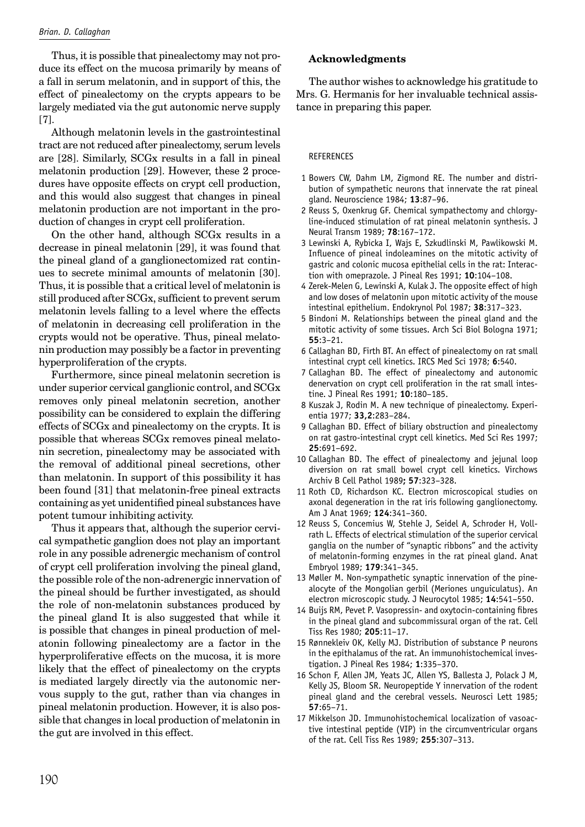Thus, it is possible that pinealectomy may not produce its effect on the mucosa primarily by means of a fall in serum melatonin, and in support of this, the effect of pinealectomy on the crypts appears to be largely mediated via the gut autonomic nerve supply [7].

Although melatonin levels in the gastrointestinal tract are not reduced after pinealectomy, serum levels are [28]. Similarly, SCGx results in a fall in pineal melatonin production [29]. However, these 2 procedures have opposite effects on crypt cell production, and this would also suggest that changes in pineal melatonin production are not important in the production of changes in crypt cell proliferation.

On the other hand, although SCGx results in a decrease in pineal melatonin [29], it was found that the pineal gland of a ganglionectomized rat continues to secrete minimal amounts of melatonin [30]. Thus, it is possible that a critical level of melatonin is still produced after SCGx, sufficient to prevent serum melatonin levels falling to a level where the effects of melatonin in decreasing cell proliferation in the crypts would not be operative. Thus, pineal melatonin production may possibly be a factor in preventing hyperproliferation of the crypts.

Furthermore, since pineal melatonin secretion is under superior cervical ganglionic control, and SCGx removes only pineal melatonin secretion, another possibility can be considered to explain the differing effects of SCGx and pinealectomy on the crypts. It is possible that whereas SCGx removes pineal melatonin secretion, pinealectomy may be associated with the removal of additional pineal secretions, other than melatonin. In support of this possibility it has been found [31] that melatonin-free pineal extracts containing as yet unidentified pineal substances have potent tumour inhibiting activity.

Thus it appears that, although the superior cervical sympathetic ganglion does not play an important role in any possible adrenergic mechanism of control of crypt cell proliferation involving the pineal gland, the possible role of the non-adrenergic innervation of the pineal should be further investigated, as should the role of non-melatonin substances produced by the pineal gland It is also suggested that while it is possible that changes in pineal production of melatonin following pinealectomy are a factor in the hyperproliferative effects on the mucosa, it is more likely that the effect of pinealectomy on the crypts is mediated largely directly via the autonomic nervous supply to the gut, rather than via changes in pineal melatonin production. However, it is also possible that changes in local production of melatonin in the gut are involved in this effect.

## **Acknowledgments**

The author wishes to acknowledge his gratitude to Mrs. G. Hermanis for her invaluable technical assistance in preparing this paper.

#### REFERENCES

- 1 Bowers CW, Dahm LM, Zigmond RE. The number and distribution of sympathetic neurons that innervate the rat pineal gland. Neuroscience 1984; **13**:87–96.
- 2 Reuss S, Oxenkrug GF. Chemical sympathectomy and chlorgyline-induced stimulation of rat pineal melatonin synthesis. J Neural Transm 1989; **78**:167–172.
- 3 Lewinski A, Rybicka I, Wajs E, Szkudlinski M, Pawlikowski M. Influence of pineal indoleamines on the mitotic activity of gastric and colonic mucosa epithelial cells in the rat: Interaction with omeprazole. J Pineal Res 1991; **10**:104–108.
- 4 Zerek-Melen G, Lewinski A, Kulak J. The opposite effect of high and low doses of melatonin upon mitotic activity of the mouse intestinal epithelium. Endokrynol Pol 1987; **38**:317–323.
- 5 Bindoni M. Relationships between the pineal gland and the mitotic activity of some tissues. Arch Sci Biol Bologna 1971; **55**:3–21.
- 6 Callaghan BD, Firth BT. An effect of pinealectomy on rat small intestinal crypt cell kinetics. IRCS Med Sci 1978; **6**:540.
- 7 Callaghan BD. The effect of pinealectomy and autonomic denervation on crypt cell proliferation in the rat small intestine. J Pineal Res 1991; **10**:180–185.
- 8 Kuszak J, Rodin M. A new technique of pinealectomy. Experientia 1977; **33,2**:283–284.
- 9 Callaghan BD. Effect of biliary obstruction and pinealectomy on rat gastro-intestinal crypt cell kinetics. Med Sci Res 1997; **25**:691–692.
- 10 Callaghan BD. The effect of pinealectomy and jejunal loop diversion on rat small bowel crypt cell kinetics. Virchows Archiv B Cell Pathol 1989**; 57**:323–328.
- 11 Roth CD, Richardson KC. Electron microscopical studies on axonal degeneration in the rat iris following ganglionectomy. Am J Anat 1969; **124**:341–360.
- 12 Reuss S, Concemius W, Stehle J, Seidel A, Schroder H, Vollrath L. Effects of electrical stimulation of the superior cervical ganglia on the number of "synaptic ribbons" and the activity of melatonin-forming enzymes in the rat pineal gland. Anat Embryol 1989; **179**:341–345.
- 13 Møller M. Non-sympathetic synaptic innervation of the pinealocyte of the Mongolian gerbil (Meriones unguiculatus). An electron microscopic study. J Neurocytol 1985; **14**:541–550.
- 14 Buijs RM, Pevet P. Vasopressin- and oxytocin-containing fibres in the pineal gland and subcommissural organ of the rat. Cell Tiss Res 1980; **205**:11–17.
- 15 Rønnekleiv OK, Kelly MJ. Distribution of substance P neurons in the epithalamus of the rat. An immunohistochemical investigation. J Pineal Res 1984; **1**:335–370.
- 16 Schon F, Allen JM, Yeats JC, Allen YS, Ballesta J, Polack J M, Kelly JS, Bloom SR. Neuropeptide Y innervation of the rodent pineal gland and the cerebral vessels. Neurosci Lett 1985; **57**:65–71.
- 17 Mikkelson JD. Immunohistochemical localization of vasoactive intestinal peptide (VIP) in the circumventricular organs of the rat. Cell Tiss Res 1989; **255**:307–313.